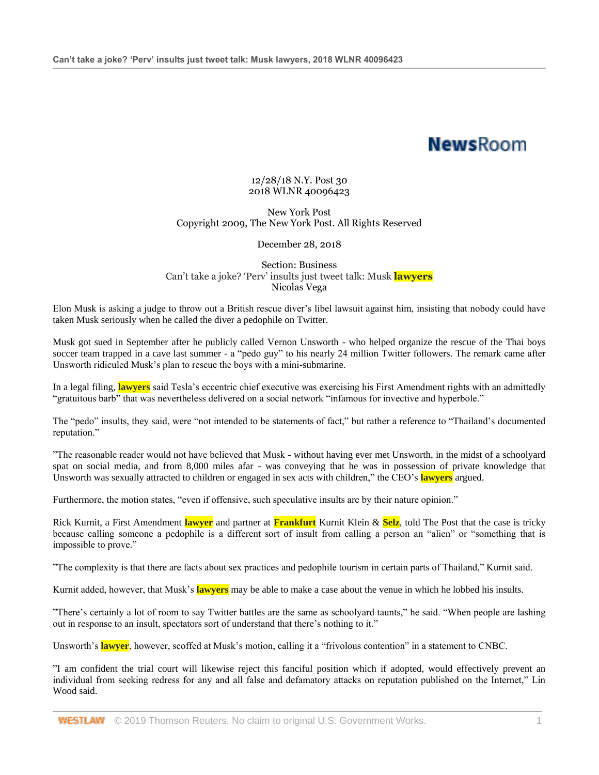## **NewsRoom**

12/28/18 N.Y. Post 30 2018 WLNR 40096423

New York Post Copyright 2009, The New York Post. All Rights Reserved

December 28, 2018

Section: Business Can't take a joke? 'Perv' insults just tweet talk: Musk **lawyers** Nicolas Vega

Elon Musk is asking a judge to throw out a British rescue diver's libel lawsuit against him, insisting that nobody could have taken Musk seriously when he called the diver a pedophile on Twitter.

Musk got sued in September after he publicly called Vernon Unsworth - who helped organize the rescue of the Thai boys soccer team trapped in a cave last summer - a "pedo guy" to his nearly 24 million Twitter followers. The remark came after Unsworth ridiculed Musk's plan to rescue the boys with a mini-submarine.

In a legal filing, **lawyers** said Tesla's eccentric chief executive was exercising his First Amendment rights with an admittedly "gratuitous barb" that was nevertheless delivered on a social network "infamous for invective and hyperbole."

The "pedo" insults, they said, were "not intended to be statements of fact," but rather a reference to "Thailand's documented reputation."

"The reasonable reader would not have believed that Musk - without having ever met Unsworth, in the midst of a schoolyard spat on social media, and from 8,000 miles afar - was conveying that he was in possession of private knowledge that Unsworth was sexually attracted to children or engaged in sex acts with children," the CEO's **lawyers** argued.

Furthermore, the motion states, "even if offensive, such speculative insults are by their nature opinion."

Rick Kurnit, a First Amendment **lawyer** and partner at **Frankfurt** Kurnit Klein & **Selz**, told The Post that the case is tricky because calling someone a pedophile is a different sort of insult from calling a person an "alien" or "something that is impossible to prove."

"The complexity is that there are facts about sex practices and pedophile tourism in certain parts of Thailand," Kurnit said.

Kurnit added, however, that Musk's **lawyers** may be able to make a case about the venue in which he lobbed his insults.

"There's certainly a lot of room to say Twitter battles are the same as schoolyard taunts," he said. "When people are lashing out in response to an insult, spectators sort of understand that there's nothing to it."

Unsworth's **lawyer**, however, scoffed at Musk's motion, calling it a "frivolous contention" in a statement to CNBC.

"I am confident the trial court will likewise reject this fanciful position which if adopted, would effectively prevent an individual from seeking redress for any and all false and defamatory attacks on reputation published on the Internet," Lin Wood said.